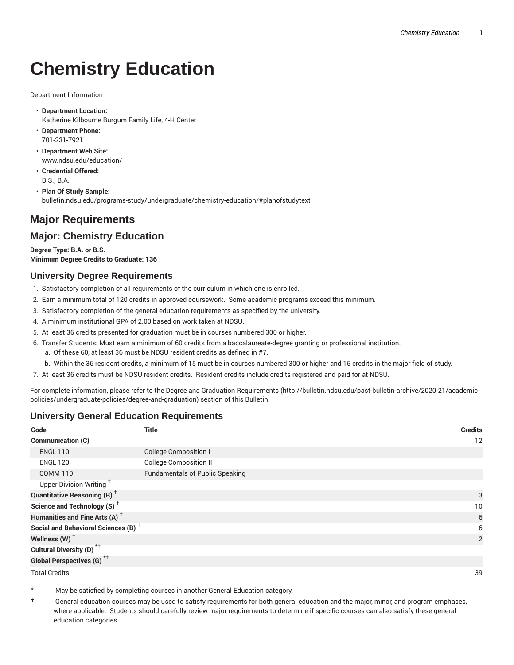# **Chemistry Education**

Department Information

- **Department Location:** Katherine Kilbourne Burgum Family Life, 4-H Center
- **Department Phone:** 701-231-7921
- **Department Web Site:** www.ndsu.edu/education/
- **Credential Offered:** B.S.; B.A.
- **Plan Of Study Sample:** bulletin.ndsu.edu/programs-study/undergraduate/chemistry-education/#planofstudytext

# **Major Requirements**

## **Major: Chemistry Education**

**Degree Type: B.A. or B.S. Minimum Degree Credits to Graduate: 136**

#### **University Degree Requirements**

- 1. Satisfactory completion of all requirements of the curriculum in which one is enrolled.
- 2. Earn a minimum total of 120 credits in approved coursework. Some academic programs exceed this minimum.
- 3. Satisfactory completion of the general education requirements as specified by the university.
- 4. A minimum institutional GPA of 2.00 based on work taken at NDSU.
- 5. At least 36 credits presented for graduation must be in courses numbered 300 or higher.
- 6. Transfer Students: Must earn a minimum of 60 credits from a baccalaureate-degree granting or professional institution.
	- a. Of these 60, at least 36 must be NDSU resident credits as defined in #7.
	- b. Within the 36 resident credits, a minimum of 15 must be in courses numbered 300 or higher and 15 credits in the major field of study.
- 7. At least 36 credits must be NDSU resident credits. Resident credits include credits registered and paid for at NDSU.

For complete information, please refer to the Degree and Graduation Requirements (http://bulletin.ndsu.edu/past-bulletin-archive/2020-21/academicpolicies/undergraduate-policies/degree-and-graduation) section of this Bulletin.

#### **University General Education Requirements**

| Code                                            | <b>Title</b>                           | <b>Credits</b> |
|-------------------------------------------------|----------------------------------------|----------------|
| Communication (C)                               |                                        | 12             |
| <b>ENGL 110</b>                                 | <b>College Composition I</b>           |                |
| <b>ENGL 120</b>                                 | <b>College Composition II</b>          |                |
| <b>COMM 110</b>                                 | <b>Fundamentals of Public Speaking</b> |                |
| Upper Division Writing <sup>+</sup>             |                                        |                |
| <b>Quantitative Reasoning (R)</b> <sup>†</sup>  |                                        | 3              |
| Science and Technology (S) <sup>+</sup>         |                                        | 10             |
| Humanities and Fine Arts (A) <sup>+</sup>       |                                        | 6              |
| Social and Behavioral Sciences (B) <sup>+</sup> |                                        | 6              |
| Wellness $(W)$ <sup>+</sup>                     |                                        | 2              |
| Cultural Diversity (D) <sup>*†</sup>            |                                        |                |
| <b>Global Perspectives (G)<sup>*†</sup></b>     |                                        |                |

Total Credits 39

May be satisfied by completing courses in another General Education category.

† General education courses may be used to satisfy requirements for both general education and the major, minor, and program emphases, where applicable. Students should carefully review major requirements to determine if specific courses can also satisfy these general education categories.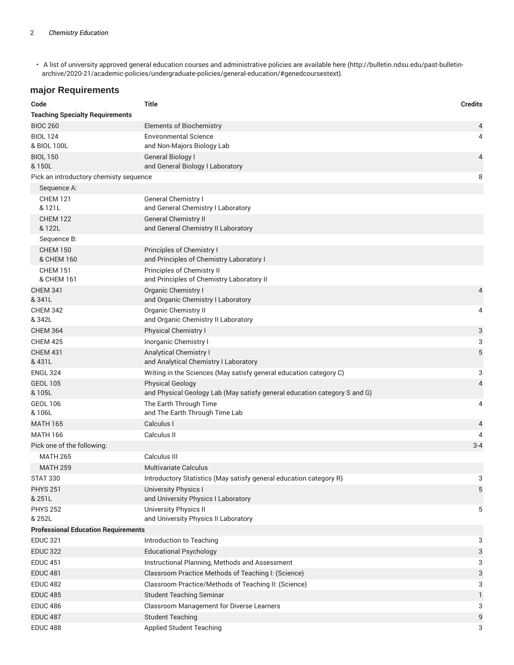• A list of university approved general education courses and administrative policies are available here (http://bulletin.ndsu.edu/past-bulletinarchive/2020-21/academic-policies/undergraduate-policies/general-education/#genedcoursestext).

## **major Requirements**

| Code                                       | <b>Title</b>                                                                                         | <b>Credits</b> |
|--------------------------------------------|------------------------------------------------------------------------------------------------------|----------------|
| <b>Teaching Specialty Requirements</b>     |                                                                                                      |                |
| <b>BIOC 260</b>                            | <b>Elements of Biochemistry</b>                                                                      | 4              |
| <b>BIOL 124</b>                            | <b>Environmental Science</b>                                                                         | 4              |
| & BIOL 100L                                | and Non-Majors Biology Lab                                                                           |                |
| <b>BIOL 150</b><br>& 150L                  | <b>General Biology I</b><br>and General Biology I Laboratory                                         | 4              |
| Pick an introductory chemisty sequence     |                                                                                                      | 8              |
| Sequence A:                                |                                                                                                      |                |
| <b>CHEM 121</b><br>& 121L                  | General Chemistry I<br>and General Chemistry I Laboratory                                            |                |
| <b>CHEM 122</b><br>& 122L                  | <b>General Chemistry II</b><br>and General Chemistry II Laboratory                                   |                |
| Sequence B:                                |                                                                                                      |                |
| <b>CHEM 150</b><br>& CHEM 160              | Principles of Chemistry I<br>and Principles of Chemistry Laboratory I                                |                |
| <b>CHEM 151</b><br>& CHEM 161              | Principles of Chemistry II<br>and Principles of Chemistry Laboratory II                              |                |
| <b>CHEM 341</b>                            | Organic Chemistry I                                                                                  | 4              |
| & 341L                                     | and Organic Chemistry I Laboratory                                                                   |                |
| <b>CHEM 342</b><br>& 342L                  | <b>Organic Chemistry II</b><br>and Organic Chemistry II Laboratory                                   | 4              |
| <b>CHEM 364</b>                            | <b>Physical Chemistry I</b>                                                                          | 3              |
| <b>CHEM 425</b>                            | Inorganic Chemistry I                                                                                | 3              |
| <b>CHEM 431</b>                            | <b>Analytical Chemistry I</b>                                                                        | $\sqrt{5}$     |
| & 431L                                     | and Analytical Chemistry I Laboratory                                                                |                |
| <b>ENGL 324</b>                            | Writing in the Sciences (May satisfy general education category C)                                   | 3              |
| <b>GEOL 105</b><br>& 105L                  | <b>Physical Geology</b><br>and Physical Geology Lab (May satisfy general education category S and G) | 4              |
| <b>GEOL 106</b><br>& 106L                  | The Earth Through Time<br>and The Earth Through Time Lab                                             | 4              |
| <b>MATH 165</b>                            | Calculus I                                                                                           | 4              |
| <b>MATH 166</b>                            | Calculus II                                                                                          | 4              |
| Pick one of the following:                 |                                                                                                      | $3 - 4$        |
| <b>MATH 265</b>                            | Calculus III                                                                                         |                |
| <b>MATH 259</b>                            | Multivariate Calculus                                                                                |                |
| <b>STAT 330</b>                            | Introductory Statistics (May satisfy general education category R)                                   | 3              |
| <b>PHYS 251</b><br>& 251L                  | <b>University Physics I</b><br>and University Physics I Laboratory                                   | 5              |
| <b>PHYS 252</b><br>& 252L                  | University Physics II<br>and University Physics II Laboratory                                        | 5              |
| <b>Professional Education Requirements</b> |                                                                                                      |                |
| <b>EDUC 321</b>                            | Introduction to Teaching                                                                             | 3              |
| <b>EDUC 322</b>                            | <b>Educational Psychology</b>                                                                        | 3              |
| <b>EDUC 451</b>                            | Instructional Planning, Methods and Assessment                                                       | 3              |
| <b>EDUC 481</b>                            | Classroom Practice Methods of Teaching I: (Science)                                                  | 3              |
| <b>EDUC 482</b>                            | Classroom Practice/Methods of Teaching II: (Science)                                                 | 3              |
| <b>EDUC 485</b>                            | <b>Student Teaching Seminar</b>                                                                      | 1              |
| <b>EDUC 486</b>                            | Classroom Management for Diverse Learners                                                            | 3              |
| <b>EDUC 487</b>                            | <b>Student Teaching</b>                                                                              | 9              |
| <b>EDUC 488</b>                            | <b>Applied Student Teaching</b>                                                                      | 3              |